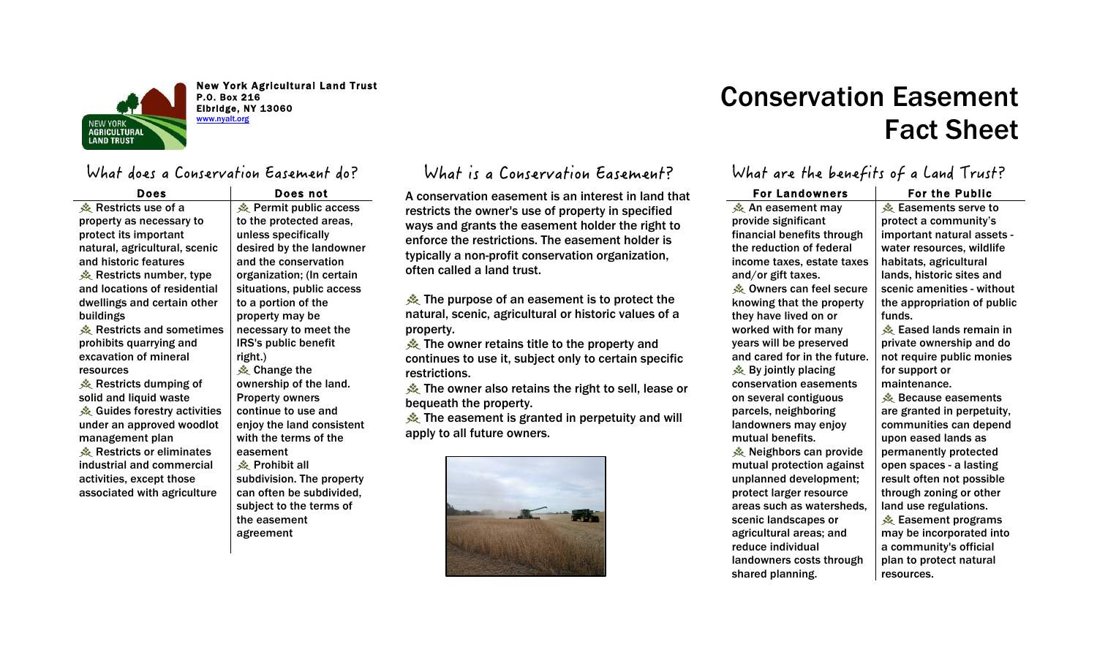

New York Agricultural Land Trust P.O. Box 216 Elbridge, NY 13060 www.nyalt.org

### What does a Conservation Easement do?

| Does                          | Does not                  |
|-------------------------------|---------------------------|
| ※ Restricts use of a          | ※ Permit public access    |
| property as necessary to      | to the protected areas,   |
| protect its important         | unless specifically       |
| natural, agricultural, scenic | desired by the landowner  |
| and historic features         | and the conservation      |
| 奏 Restricts number, type      | organization; (In certain |
| and locations of residential  | situations, public access |
| dwellings and certain other   | to a portion of the       |
| buildings                     | property may be           |
| ※ Restricts and sometimes     | necessary to meet the     |
| prohibits quarrying and       | IRS's public benefit      |
| excavation of mineral         | right.)                   |
| resources                     | ※ Change the              |
| 奏 Restricts dumping of        | ownership of the land.    |
| solid and liquid waste        | <b>Property owners</b>    |
| ※ Guides forestry activities  | continue to use and       |
| under an approved woodlot     | enjoy the land consistent |
| management plan               | with the terms of the     |
| Restricts or eliminates       | easement                  |
| industrial and commercial     | ※ Prohibit all            |
| activities, except those      | subdivision. The property |
| associated with agriculture   | can often be subdivided,  |
|                               | subject to the terms of   |
|                               | the easement              |
|                               | agreement                 |

### What is a Conservation Easement?

A conservation easement is an interest in land that restricts the owner's use of property in specified ways and grants the easement holder the right to enforce the restrictions. The easement holder is typically a non-profit conservation organization, often called a land trust.

**Example 2** The purpose of an easement is to protect the natural, scenic, agricultural or historic values of a property.

**A** The owner retains title to the property and continues to use it, subject only to certain specific restrictions.

**K** The owner also retains the right to sell, lease or bequeath the property.

**※ The easement is granted in perpetuity and will** apply to all future owners.



# Conservation Easement Fact Sheet

### What are the benefits of a Land Trust?

| <b>For Landowners</b>        | <b>For the Public</b>       |
|------------------------------|-----------------------------|
| 美 An easement may            | 桑 Easements serve to        |
| provide significant          | protect a community's       |
| financial benefits through   | important natural assets -  |
| the reduction of federal     | water resources, wildlife   |
| income taxes, estate taxes   | habitats, agricultural      |
| and/or gift taxes.           | lands, historic sites and   |
| ※ Owners can feel secure     | scenic amenities - without  |
| knowing that the property    | the appropriation of public |
| they have lived on or        | funds.                      |
| worked with for many         | ※ Eased lands remain in     |
| years will be preserved      | private ownership and do    |
| and cared for in the future. | not require public monies   |
| 桑 By jointly placing         | for support or              |
| conservation easements       | maintenance.                |
| on several contiguous        | ※ Because easements         |
| parcels, neighboring         | are granted in perpetuity,  |
| landowners may enjoy         | communities can depend      |
| mutual benefits.             | upon eased lands as         |
| 奏 Neighbors can provide      | permanently protected       |
| mutual protection against    | open spaces - a lasting     |
| unplanned development;       | result often not possible   |
| protect larger resource      | through zoning or other     |
| areas such as watersheds,    | land use regulations.       |
| scenic landscapes or         | ※ Easement programs         |
| agricultural areas; and      | may be incorporated into    |
| reduce individual            | a community's official      |
| landowners costs through     | plan to protect natural     |
| shared planning.             | resources.                  |